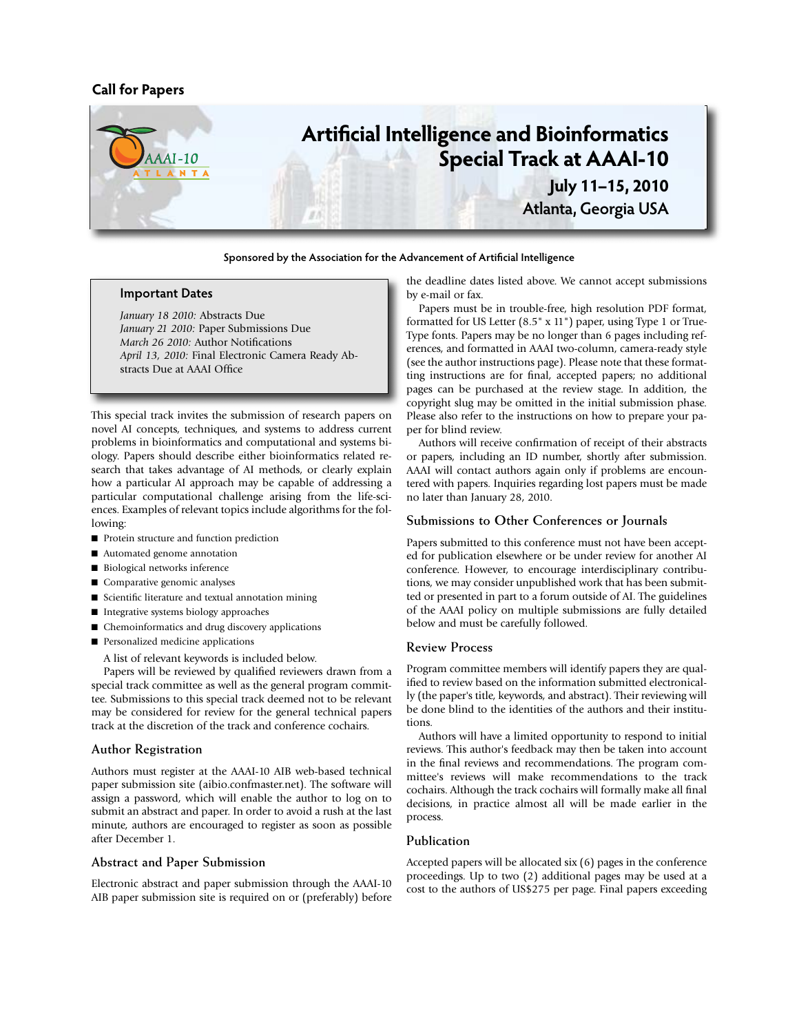# **Call for Papers**



**Sponsored by the Association for the Advancement of Artificial Intelligence**

# **Important Dates**

*January 18 2010:* Abstracts Due *January 21 2010:* Paper Submissions Due *March 26 2010:* Author Notifications *April 13, 2010:* Final Electronic Camera Ready Abstracts Due at AAAI Office

This special track invites the submission of research papers on novel AI concepts, techniques, and systems to address current problems in bioinformatics and computational and systems biology. Papers should describe either bioinformatics related research that takes advantage of AI methods, or clearly explain how a particular AI approach may be capable of addressing a particular computational challenge arising from the life-sciences. Examples of relevant topics include algorithms for the following:

- n Protein structure and function prediction
- Automated genome annotation
- Biological networks inference
- Comparative genomic analyses
- Scientific literature and textual annotation mining
- Integrative systems biology approaches
- $\blacksquare$  Chemoinformatics and drug discovery applications
- $\blacksquare$  Personalized medicine applications

A list of relevant keywords is included below.

Papers will be reviewed by qualified reviewers drawn from a special track committee as well as the general program committee. Submissions to this special track deemed not to be relevant may be considered for review for the general technical papers track at the discretion of the track and conference cochairs.

#### **Author Registration**

Authors must register at the AAAI-10 AIB web-based technical paper submission site (aibio.confmaster.net). The software will assign a password, which will enable the author to log on to submit an abstract and paper. In order to avoid a rush at the last minute, authors are encouraged to register as soon as possible after December 1.

### **Abstract and Paper Submission**

Electronic abstract and paper submission through the AAAI-10 AIB paper submission site is required on or (preferably) before the deadline dates listed above. We cannot accept submissions by e-mail or fax.

Papers must be in trouble-free, high resolution PDF format, formatted for US Letter (8.5" x 11") paper, using Type 1 or True-Type fonts. Papers may be no longer than 6 pages including references, and formatted in AAAI two-column, camera-ready style (see the author instructions page). Please note that these formatting instructions are for final, accepted papers; no additional pages can be purchased at the review stage. In addition, the copyright slug may be omitted in the initial submission phase. Please also refer to the instructions on how to prepare your paper for blind review.

Authors will receive confirmation of receipt of their abstracts or papers, including an ID number, shortly after submission. AAAI will contact authors again only if problems are encountered with papers. Inquiries regarding lost papers must be made no later than January 28, 2010.

#### **Submissions to Other Conferences or Journals**

Papers submitted to this conference must not have been accepted for publication elsewhere or be under review for another AI conference. However, to encourage interdisciplinary contributions, we may consider unpublished work that has been submitted or presented in part to a forum outside of AI. The guidelines of the AAAI policy on multiple submissions are fully detailed below and must be carefully followed.

### **Review Process**

Program committee members will identify papers they are qualified to review based on the information submitted electronically (the paper's title, keywords, and abstract). Their reviewing will be done blind to the identities of the authors and their institutions.

Authors will have a limited opportunity to respond to initial reviews. This author's feedback may then be taken into account in the final reviews and recommendations. The program committee's reviews will make recommendations to the track cochairs. Although the track cochairs will formally make all final decisions, in practice almost all will be made earlier in the process.

## **Publication**

Accepted papers will be allocated six (6) pages in the conference proceedings. Up to two (2) additional pages may be used at a cost to the authors of US\$275 per page. Final papers exceeding